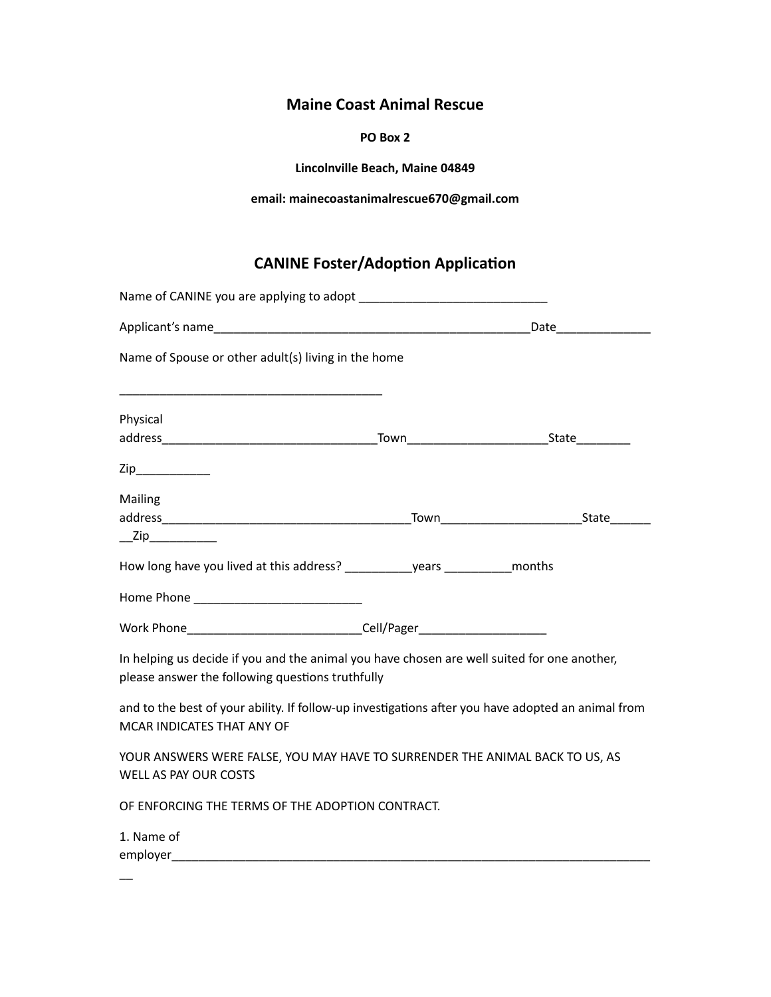## **Maine Coast Animal Rescue**

## **PO Box 2**

**Lincolnville Beach, Maine 04849**

**email: mainecoastanimalrescue670@gmail.com**

## **CANINE Foster/Adoption Application**

| Name of Spouse or other adult(s) living in the home                                                                                             |  |
|-------------------------------------------------------------------------------------------------------------------------------------------------|--|
| Physical                                                                                                                                        |  |
| $\mathsf{Zip}\_$                                                                                                                                |  |
| Mailing<br>$\overline{\phantom{a}}$ Zip                                                                                                         |  |
|                                                                                                                                                 |  |
|                                                                                                                                                 |  |
| Work Phone <b>Cell</b> /Pager                                                                                                                   |  |
| In helping us decide if you and the animal you have chosen are well suited for one another,<br>please answer the following questions truthfully |  |
| and to the best of your ability. If follow-up investigations after you have adopted an animal from<br>MCAR INDICATES THAT ANY OF                |  |
| YOUR ANSWERS WERE FALSE, YOU MAY HAVE TO SURRENDER THE ANIMAL BACK TO US, AS<br>WELL AS PAY OUR COSTS                                           |  |
| OF ENFORCING THE TERMS OF THE ADOPTION CONTRACT.                                                                                                |  |
| 1. Name of<br>employer                                                                                                                          |  |

 $\overline{\phantom{0}}$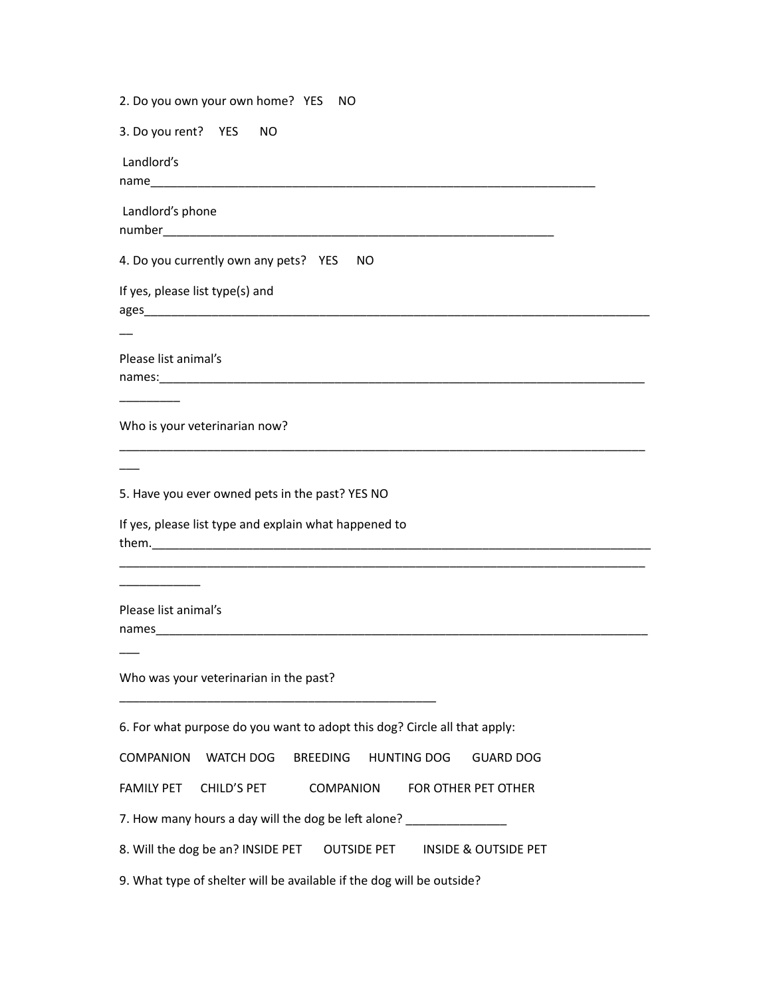2. Do you own your own home? YES NO 3. Do you rent? YES NO Landlord's name\_\_\_\_\_\_\_\_\_\_\_\_\_\_\_\_\_\_\_\_\_\_\_\_\_\_\_\_\_\_\_\_\_\_\_\_\_\_\_\_\_\_\_\_\_\_\_\_\_\_\_\_\_\_\_\_\_\_\_\_\_\_\_\_\_\_ Landlord's phone number\_\_\_\_\_\_\_\_\_\_\_\_\_\_\_\_\_\_\_\_\_\_\_\_\_\_\_\_\_\_\_\_\_\_\_\_\_\_\_\_\_\_\_\_\_\_\_\_\_\_\_\_\_\_\_\_\_\_ 4. Do you currently own any pets? YES NO If yes, please list type(s) and ages\_\_\_\_\_\_\_\_\_\_\_\_\_\_\_\_\_\_\_\_\_\_\_\_\_\_\_\_\_\_\_\_\_\_\_\_\_\_\_\_\_\_\_\_\_\_\_\_\_\_\_\_\_\_\_\_\_\_\_\_\_\_\_\_\_\_\_\_\_\_\_\_\_\_\_  $\overline{\phantom{a}}$ Please list animal's names:  $\overline{\phantom{a}}$ Who is your veterinarian now? \_\_\_\_\_\_\_\_\_\_\_\_\_\_\_\_\_\_\_\_\_\_\_\_\_\_\_\_\_\_\_\_\_\_\_\_\_\_\_\_\_\_\_\_\_\_\_\_\_\_\_\_\_\_\_\_\_\_\_\_\_\_\_\_\_\_\_\_\_\_\_\_\_\_\_\_\_\_  $\overline{\phantom{a}}$ 5. Have you ever owned pets in the past? YES NO If yes, please list type and explain what happened to them.\_\_\_\_\_\_\_\_\_\_\_\_\_\_\_\_\_\_\_\_\_\_\_\_\_\_\_\_\_\_\_\_\_\_\_\_\_\_\_\_\_\_\_\_\_\_\_\_\_\_\_\_\_\_\_\_\_\_\_\_\_\_\_\_\_\_\_\_\_\_\_\_\_\_ \_\_\_\_\_\_\_\_\_\_\_\_\_\_\_\_\_\_\_\_\_\_\_\_\_\_\_\_\_\_\_\_\_\_\_\_\_\_\_\_\_\_\_\_\_\_\_\_\_\_\_\_\_\_\_\_\_\_\_\_\_\_\_\_\_\_\_\_\_\_\_\_\_\_\_\_\_\_ \_\_\_\_\_\_\_\_\_\_\_\_ Please list animal's names\_\_\_\_\_\_\_\_\_\_\_\_\_\_\_\_\_\_\_\_\_\_\_\_\_\_\_\_\_\_\_\_\_\_\_\_\_\_\_\_\_\_\_\_\_\_\_\_\_\_\_\_\_\_\_\_\_\_\_\_\_\_\_\_\_\_\_\_\_\_\_\_\_  $\overline{\phantom{a}}$ Who was your veterinarian in the past? \_\_\_\_\_\_\_\_\_\_\_\_\_\_\_\_\_\_\_\_\_\_\_\_\_\_\_\_\_\_\_\_\_\_\_\_\_\_\_\_\_\_\_\_\_\_\_ 6. For what purpose do you want to adopt this dog? Circle all that apply: COMPANION WATCH DOG BREEDING HUNTING DOG GUARD DOG FAMILY PET CHILD'S PET COMPANION FOR OTHER PET OTHER 7. How many hours a day will the dog be left alone? 8. Will the dog be an? INSIDE PET OUTSIDE PET INSIDE & OUTSIDE PET 9. What type of shelter will be available if the dog will be outside?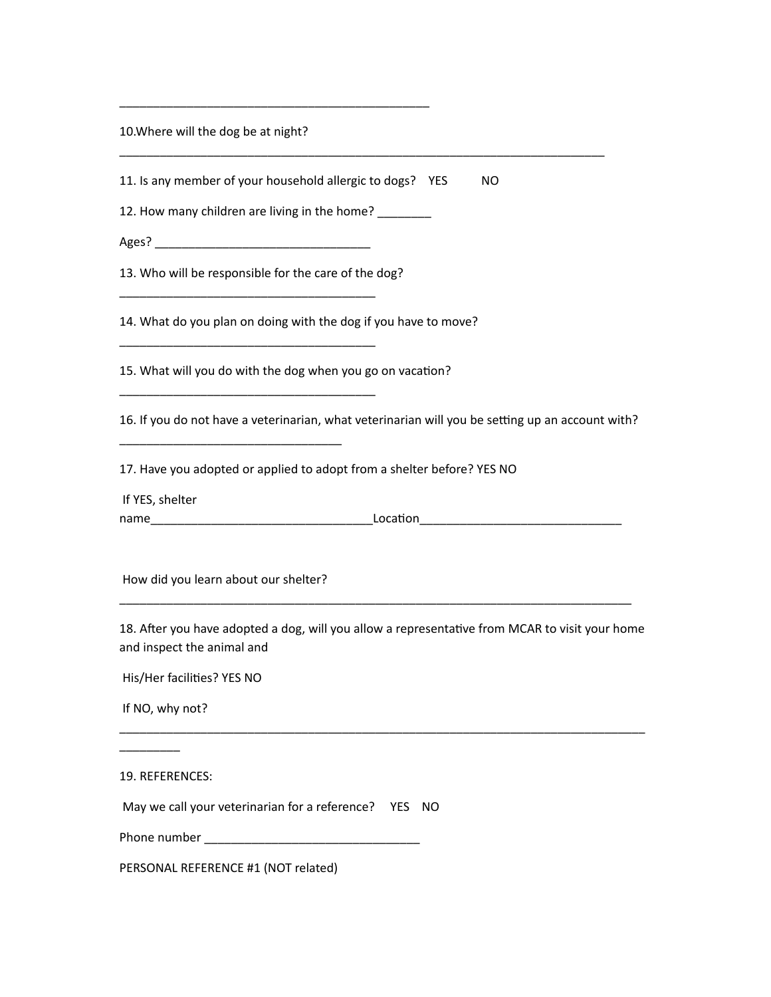10. Where will the dog be at night?

11. Is any member of your household allergic to dogs? YES NO

\_\_\_\_\_\_\_\_\_\_\_\_\_\_\_\_\_\_\_\_\_\_\_\_\_\_\_\_\_\_\_\_\_\_\_\_\_\_\_\_\_\_\_\_\_\_\_\_\_\_\_\_\_\_\_\_\_\_\_\_\_\_\_\_\_\_\_\_\_\_\_\_ 

12. How many children are living in the home? \_\_\_\_\_\_\_\_

\_\_\_\_\_\_\_\_\_\_\_\_\_\_\_\_\_\_\_\_\_\_\_\_\_\_\_\_\_\_\_\_\_\_\_\_\_\_\_\_\_\_\_\_\_\_

Ages? \_\_\_\_\_\_\_\_\_\_\_\_\_\_\_\_\_\_\_\_\_\_\_\_\_\_\_\_\_\_\_\_

13. Who will be responsible for the care of the dog?

\_\_\_\_\_\_\_\_\_\_\_\_\_\_\_\_\_\_\_\_\_\_\_\_\_\_\_\_\_\_\_\_\_\_\_\_\_\_

\_\_\_\_\_\_\_\_\_\_\_\_\_\_\_\_\_\_\_\_\_\_\_\_\_\_\_\_\_\_\_\_\_\_\_\_\_\_

\_\_\_\_\_\_\_\_\_\_\_\_\_\_\_\_\_\_\_\_\_\_\_\_\_\_\_\_\_\_\_\_\_\_\_\_\_\_

\_\_\_\_\_\_\_\_\_\_\_\_\_\_\_\_\_\_\_\_\_\_\_\_\_\_\_\_\_\_\_\_\_

14. What do you plan on doing with the dog if you have to move?

15. What will you do with the dog when you go on vacation?

16. If you do not have a veterinarian, what veterinarian will you be setting up an account with?

17. Have you adopted or applied to adopt from a shelter before? YES NO

If YES, shelter

name\_\_\_\_\_\_\_\_\_\_\_\_\_\_\_\_\_\_\_\_\_\_\_\_\_\_\_\_\_\_\_\_\_LocaLon\_\_\_\_\_\_\_\_\_\_\_\_\_\_\_\_\_\_\_\_\_\_\_\_\_\_\_\_\_\_ 

How did you learn about our shelter?

18. After you have adopted a dog, will you allow a representative from MCAR to visit your home and inspect the animal and

\_\_\_\_\_\_\_\_\_\_\_\_\_\_\_\_\_\_\_\_\_\_\_\_\_\_\_\_\_\_\_\_\_\_\_\_\_\_\_\_\_\_\_\_\_\_\_\_\_\_\_\_\_\_\_\_\_\_\_\_\_\_\_\_\_\_\_\_\_\_\_\_\_\_\_\_\_\_

\_\_\_\_\_\_\_\_\_\_\_\_\_\_\_\_\_\_\_\_\_\_\_\_\_\_\_\_\_\_\_\_\_\_\_\_\_\_\_\_\_\_\_\_\_\_\_\_\_\_\_\_\_\_\_\_\_\_\_\_\_\_\_\_\_\_\_\_\_\_\_\_\_\_\_\_

His/Her facilities? YES NO

If NO, why not?

 $\overline{\phantom{a}}$ 

19. REFERENCES:

May we call your veterinarian for a reference? YES NO

Phone number \_\_\_\_\_\_\_\_\_\_\_\_\_\_\_\_\_\_\_\_\_\_\_\_\_\_\_\_\_\_\_\_

PERSONAL REFERENCE #1 (NOT related)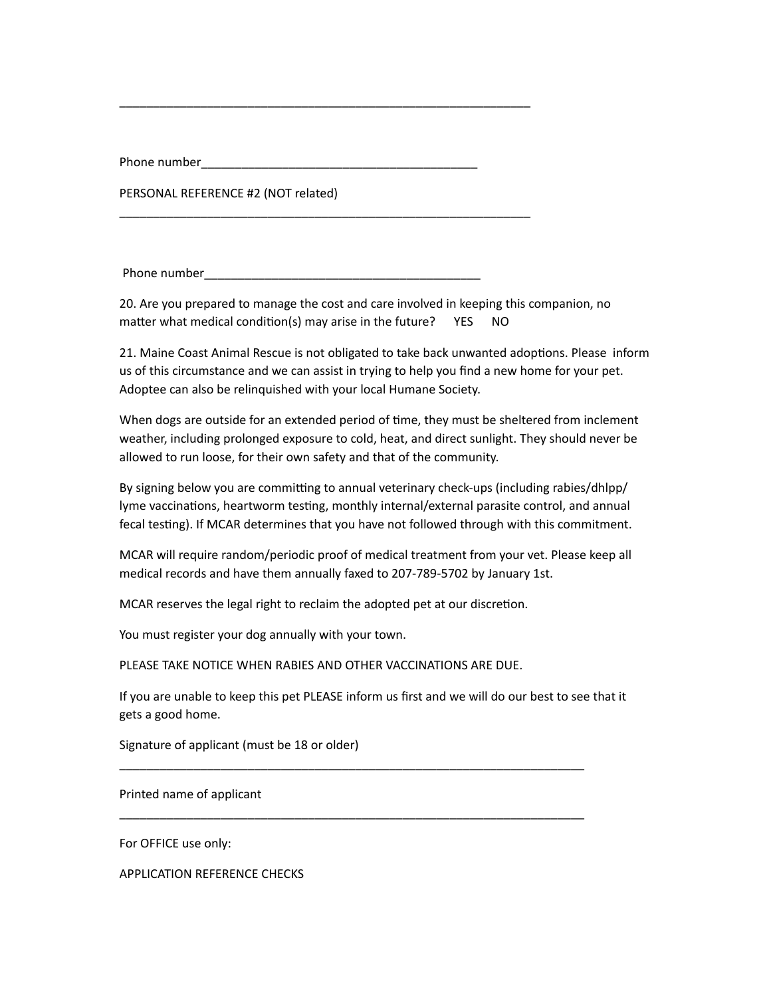Phone number\_\_\_\_\_\_\_\_\_\_\_\_\_\_\_\_\_\_\_\_\_\_\_\_\_\_\_\_\_\_\_\_\_\_\_\_\_\_\_\_\_

PERSONAL REFERENCE #2 (NOT related)

Phone number **and the set of the set of the set of the set of the set of the set of the set of the set of the set of the set of the set of the set of the set of the set of the set of the set of the set of the set of the se** 

\_\_\_\_\_\_\_\_\_\_\_\_\_\_\_\_\_\_\_\_\_\_\_\_\_\_\_\_\_\_\_\_\_\_\_\_\_\_\_\_\_\_\_\_\_\_\_\_\_\_\_\_\_\_\_\_\_\_\_\_\_

\_\_\_\_\_\_\_\_\_\_\_\_\_\_\_\_\_\_\_\_\_\_\_\_\_\_\_\_\_\_\_\_\_\_\_\_\_\_\_\_\_\_\_\_\_\_\_\_\_\_\_\_\_\_\_\_\_\_\_\_\_

20. Are you prepared to manage the cost and care involved in keeping this companion, no matter what medical condition(s) may arise in the future?  $YES$  NO

21. Maine Coast Animal Rescue is not obligated to take back unwanted adoptions. Please inform us of this circumstance and we can assist in trying to help you find a new home for your pet. Adoptee can also be relinquished with your local Humane Society.

When dogs are outside for an extended period of time, they must be sheltered from inclement weather, including prolonged exposure to cold, heat, and direct sunlight. They should never be allowed to run loose, for their own safety and that of the community.

By signing below you are committing to annual veterinary check-ups (including rabies/dhlpp/ lyme vaccinations, heartworm testing, monthly internal/external parasite control, and annual fecal testing). If MCAR determines that you have not followed through with this commitment.

MCAR will require random/periodic proof of medical treatment from your vet. Please keep all medical records and have them annually faxed to 207-789-5702 by January 1st.

MCAR reserves the legal right to reclaim the adopted pet at our discretion.

You must register your dog annually with your town.

PLEASE TAKE NOTICE WHEN RABIES AND OTHER VACCINATIONS ARE DUE.

If you are unable to keep this pet PLEASE inform us first and we will do our best to see that it gets a good home.

\_\_\_\_\_\_\_\_\_\_\_\_\_\_\_\_\_\_\_\_\_\_\_\_\_\_\_\_\_\_\_\_\_\_\_\_\_\_\_\_\_\_\_\_\_\_\_\_\_\_\_\_\_\_\_\_\_\_\_\_\_\_\_\_\_\_\_\_\_

\_\_\_\_\_\_\_\_\_\_\_\_\_\_\_\_\_\_\_\_\_\_\_\_\_\_\_\_\_\_\_\_\_\_\_\_\_\_\_\_\_\_\_\_\_\_\_\_\_\_\_\_\_\_\_\_\_\_\_\_\_\_\_\_\_\_\_\_\_

Signature of applicant (must be 18 or older)

Printed name of applicant

For OFFICE use only:

APPLICATION REFERENCE CHECKS